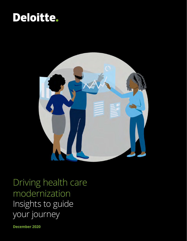## Deloitte.



Driving health care modernization Insights to guide your journey

**December 2020**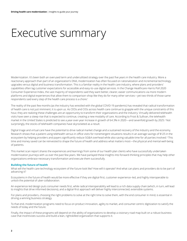## Executive summary

Modernization. It's been both an overused term and underutilized strategy over the past five years in the health care industry. More a reactionary approach than part of an organization's DNA, modernization has often focused on rationalization and incremental technology upgrades versus digital and business transformation. This is a familiar reality in the health care industry, where plans and providers' capabilities often lag customer expectations for accessible and easy-to-use digital services. In the Change Healthcare-Harris Poll 2020 Consumer Experience Index, the vast majority of respondents said they want better, clearer, easier communications via more modern platforms and digital experiences that allow them to comparison-shop like they do for many other services—yet two-thirds of those same respondents said every step of the health care process is a chore.<sup>1</sup>

The reality of the past few months (as the industry has wrestled with the global COVID-19 pandemic) has revealed that radical transformation of health care is not just imminent; it is upon us. As CEOs and CIOs across health care continue to grapple with the unique constraints of this hour, they are realizing these challenges are an opportunity to transform their organizations and the industry. Virtually delivered telehealth visits have seen a steep rise that is expected to continue, creating a new modality of care. According to Frost & Sullivan, the telehealth market in the United States is predicted to see a year-over-year increase in growth of 64.3% in 2020—and sevenfold growth by 2025.2 Not surprisingly, the stocks of telehealth companies have skyrocketed as a result.

Digital triage and virtual care have the potential to drive radical market change and a sustained recovery of the industry and the economy. Research shows that a patient using telehealth versus in-office visits for nonemergent situations results in an average savings of \$125 in the ecosystem by helping providers and payers significantly reduce SG&A overhead while also saving valuable time for all parties involved.<sup>3</sup> This time and money saved can be reinvested to shape the future of health and address what matters most—the physical and mental well-being of patients.

This market scan report shares the experiences and learnings from some of our health plan clients who have successfully undertaken modernization journeys with us over the past few years. We have parlayed these insights into forward-thinking principles that may help other organizations embrace necessary transformation and execute them successfully.

#### **Building the future of health**

What will the health care technology ecosystem of the future look like? How will it operate? And what can plans and providers do to be part of advancing it?

Ecosystems in the future of health would be more effective if they are digital-first, customer experience–led, and highly interoperable to unlock the potential of uber-collaboration.

An experience-led design puts consumer needs first, while radical interoperability will lead to a rich data supply chain (which, in turn, will lead to insights that drive informed decisions), and a digital-first approach will deliver highly interconnected, extensible systems.

For plans and providers, choosing the right problems to solve at the right time to solve them, with the end consumer in mind, is essential in driving a winning business strategy.

To that end, modernization programs need to focus on product innovation, agility to market, and consumer-centric digitization to satisfy the needs of today and the future.

Finally, the impact of these programs will depend on the ability of organizations to develop a visionary road map built on a robust business case that incentivizes success and build a lean, rightskilled organization that supports it.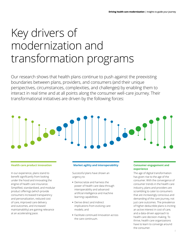## Key drivers of modernization and transformation programs

Our research shows that health plans continue to push against the preexisting boundaries between plans, providers, and consumers (and their unique perspectives, circumstances, complexities, and challenges) by enabling them to interact in real time and at all points along the consumer well-care journey. Their transformational initiatives are driven by the following forces:

# 

In our experience, plans stand to benefit significantly from looking under the hood and innovating the engine of health care insurance. Simplified, standardized, and modular product offerings (which provide consumers increased transparency and personalization, reduced cost of care, improved care delivery and outcomes, and increased maintainability) are gaining relevance at an accelerating pace.

#### **Health care product innovation Market agility and interoperability Consumer engagement and**

Successful plans have shown an urgency to:

- **•** Democratize and harness the power of health care data through interoperability and advanced artificial intelligence and machine learning capabilities;
- **•** Derive direct and indirect implications from evolving care models; and
- **•** Facilitate continued innovation across the care continuum.

## **experience**

The age of digital transformation has given rise to the age of the consumer. With the convergence of consumer trends in the health care industry, plans and providers are scrambling to cater to consumers that are increasingly conscious and demanding of the care journey, not just care outcomes. The prevalence of higher-deductible plans is inciting an active interest in cost of care, and a data-driven approach to health care decision-making. To thrive, health care organizations have to learn to converge around the consumer.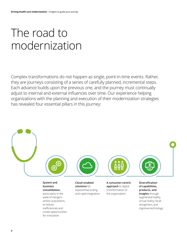# The road to modernization

Complex transformations do not happen as single, point-in-time events. Rather, they are journeys consisting of a series of carefully planned, incremental steps. Each advance builds upon the previous one, and the journey must continually adjust to internal and external influences over time. Our experience helping organizations with the planning and execution of their modernization strategies has revealed four essential pillars in this journey:



**System and business consolidation,** particularly in the wake of mergers and/or acqusitions, to reduce inefficiencies and create opportunities for innovation

**Cloud-enabled solutions** for exponential scaling and rapid integration **A consumer-centric approach** to digital transformation of the organization

**Diversification of capabilities, products, and insights** through augmented reality, virtual reality, facial recognition, and cognitive technology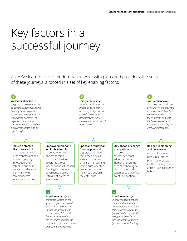## Key factors in a successful journey

As we've learned in our modernization work with plans and providers, the success of these journeys is rooted in a set of key enabling factors.

> *Transformation tip: Allowing modernization programs to have the necessary independence, void of current-state prejudices and bias, increases the likelihood of*

*their success.*



#### *Transformation tip: The*

*program should be born out of leaders pursuing ideas and building business plans to receive executive sponsorship. Establishing alignment of objectives, stakeholders, and expected ROI should be a precursor rather than an afterthought.*

#### **Induce a startuplike culture** within the organization for large transformations to spur ingenuity, innovation, and establish business case and stakeholder alignment with commensurate incentive structures.

**Empower junior and senior leadership**  to be accountable and responsible for modernization programs through independent,ROI-based funding structures and governance bodies with direct access to



executives.

#### *Transformation tip: It is critical for leaders on the ground to feel empowered with a sense of ownership toward the program and have access to information from executives so they can make decisions for the program in the context of the organization as a whole.*

### **Sponsor a multiyear**

**funding pool** and segregate initiatives that provide quick wins and missioncritical enhancements from future-oriented programs that are meant to transform the enterprise.



to empathize with and prepare the enterprise's most valued resources (humans), given the pace of technological disruption typically supersedes that of its eventual adoption.



#### *Transformation tip:*

ନ

*Change management and a mind and culture shift begins before the inception of the program, allowing "people" in the organization to organically coalesce with the rapidly changing "process" and "technology."*



*Start slow and continually pressure-test the program to make sure stakeholders remain committed to the end vision and that the business case and ROI remain intact before accelerating forward.*

**Be agile in planning and delivery** to account for market pressures, internal prioritization, state and federal regulation, and shifts in consumer behavior.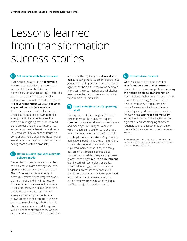# Lessons learned from transformation success stories

#### $|\nabla f|$ **Set an achievable business case**

Successful programs set an **achievable business case** that factors in near-term wins, scalability for the future, and extensibility for forward-looking capabilities. An achievable business case usually indexes on an annualized SG&A reduction to **deliver continuous value** and **balance expectations** with **delivery risks**.

The business case must be focused on unlocking exponential growth potential as opposed to incremental wins. For example, reimagining how products and plans are designed and configured into system-consumable benefits could result in immediate SG&A reduction (reusable components, rules-engine framework) and sustainable top-line growth (designing and selling more profitable products).

#### **Define a North Star with a nimble delivery model**

Modernization programs are more likely to be successful with a strong executive sponsor who can define and set a clear **North Star** and facilitate alignment across key stakeholders. Program scope, delivery model, and timelines need to be **flexible and responsive** to changes in the enterprise, technology landscape, and business realities. For example, emerging market opportunities may outweigh preplanned capability releases and require replanning to better handle change management and delivery risk. While a desire to stay true to the original scope is critical, successful programs have also found the right way to **balance it with agility** keeping the focus on enterprise value generation. It's important to note that being agile cannot be a future aspiration achieved in phases; the organization, as a whole, has to embrace the methodology and adopt its ways in order to transform.

#### $\nabla$ **Spend enough to justify spending at all**

Our experience tells us large-scale health care modernization programs require **commensurate spend** to ensure consistent and meaningful returns year over year while mitigating impacts on core business functions. Incremental spend often results in **suboptimal interim states** (e.g., multiple applications performing the same function, nonstandard operational workflows, or disjointed market capabilities) and rarely delivers on the promise of true digital transformation, while overspending doesn't guarantee the **right return on investment**  (e.g., investing in technology upgrades before addressing gaps in the business model and processes they enable). Coowned core solutions have lower perceived technical debt. At the same time, caps put on key investments have often led to conflicting objectives and outcomes.

#### **Invest future-forward**  $(\nabla)$

We are seeing health plans spending **significant portions of their SG&A** on modernization programs, yet barely **moving the needle on digital transformation** (such as cloud enablement and experiencedriven platform design). This is due to residual work they need to complete on platform rationalization and legacy technology upgrades and, in our opinion, indicative of a **lagging digital maturity**  across health plans. Following through on digitization and not stopping at system rationalization and legacy modernization has yielded the most return on investments made.

\*Domains: Claims, enrollment, billing, commissions, membership, provider, finance, benefits and product, customer service, and sales.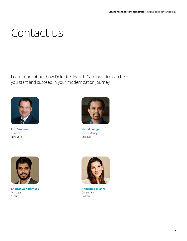## Contact us

Learn more about how Deloitte's Health Care practice can help you start and succeed in your modernization journey.



**Eric Dzepina** Principal New York



**Vishal Iyengar** Senior Manager Chicago



**Chaitanya Kommuru** Manager Austin



**Anoushka Mishra** Consultant Boston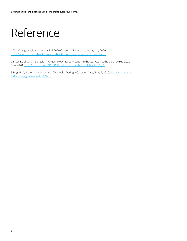## Reference

1 The Change Healthcare-Harris Poll 2020 Consumer Experience Index, May 2020, <https://analyze.changehealthcare.com/healthcare-consumer-experience-research>.

2 Frost & Sullivan, "Telehealth—A Technology-Based Weapon in the War Against the Coronavirus, 2020," April 2020, [https://go.frost.com/NA\\_PR\\_TH\\_MFernandez\\_K488\\_Telehealth\\_May20](https://go.frost.com/NA_PR_TH_MFernandez_K488_Telehealth_May20).

3 BrightMD, "Leveraging Automated Telehealth During a Capacity Crisis," May 5, 2020, [http://go.bright.md/](http://go.bright.md/BMD-LeveragingTelehealthWP.html) [BMD-LeveragingTelehealthWP.html](http://go.bright.md/BMD-LeveragingTelehealthWP.html).